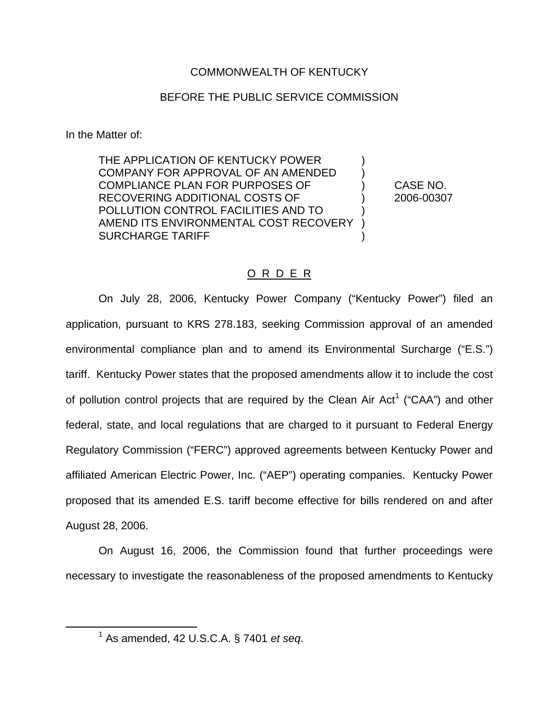### COMMONWEALTH OF KENTUCKY

#### BEFORE THE PUBLIC SERVICE COMMISSION

In the Matter of:

THE APPLICATION OF KENTUCKY POWER COMPANY FOR APPROVAL OF AN AMENDED ) COMPLIANCE PLAN FOR PURPOSES OF ) CASE NO. RECOVERING ADDITIONAL COSTS OF  $\qquad \qquad$  2006-00307 POLLUTION CONTROL FACILITIES AND TO ) AMEND ITS ENVIRONMENTAL COST RECOVERY SURCHARGE TARIFF )

### O R D E R

On July 28, 2006, Kentucky Power Company ("Kentucky Power") filed an application, pursuant to KRS 278.183, seeking Commission approval of an amended environmental compliance plan and to amend its Environmental Surcharge ("E.S.") tariff. Kentucky Power states that the proposed amendments allow it to include the cost of pollution control projects that are required by the Clean Air Act<sup>1</sup> ("CAA") and other federal, state, and local regulations that are charged to it pursuant to Federal Energy Regulatory Commission ("FERC") approved agreements between Kentucky Power and affiliated American Electric Power, Inc. ("AEP") operating companies. Kentucky Power proposed that its amended E.S. tariff become effective for bills rendered on and after August 28, 2006.

On August 16, 2006, the Commission found that further proceedings were necessary to investigate the reasonableness of the proposed amendments to Kentucky

<sup>1</sup> As amended, 42 U.S.C.A. § 7401 *et seq*.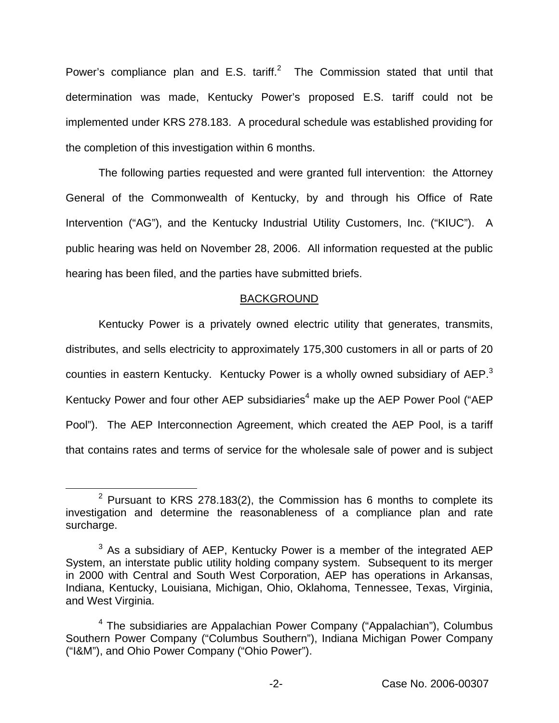Power's compliance plan and E.S. tariff.<sup>2</sup> The Commission stated that until that determination was made, Kentucky Power's proposed E.S. tariff could not be implemented under KRS 278.183. A procedural schedule was established providing for the completion of this investigation within 6 months.

The following parties requested and were granted full intervention: the Attorney General of the Commonwealth of Kentucky, by and through his Office of Rate Intervention ("AG"), and the Kentucky Industrial Utility Customers, Inc. ("KIUC"). A public hearing was held on November 28, 2006. All information requested at the public hearing has been filed, and the parties have submitted briefs.

#### BACKGROUND

Kentucky Power is a privately owned electric utility that generates, transmits, distributes, and sells electricity to approximately 175,300 customers in all or parts of 20 counties in eastern Kentucky. Kentucky Power is a wholly owned subsidiary of AEP.<sup>3</sup> Kentucky Power and four other AEP subsidiaries<sup>4</sup> make up the AEP Power Pool ("AEP Pool"). The AEP Interconnection Agreement, which created the AEP Pool, is a tariff that contains rates and terms of service for the wholesale sale of power and is subject

 $2$  Pursuant to KRS 278.183(2), the Commission has 6 months to complete its investigation and determine the reasonableness of a compliance plan and rate surcharge.

 $3$  As a subsidiary of AEP, Kentucky Power is a member of the integrated AEP System, an interstate public utility holding company system. Subsequent to its merger in 2000 with Central and South West Corporation, AEP has operations in Arkansas, Indiana, Kentucky, Louisiana, Michigan, Ohio, Oklahoma, Tennessee, Texas, Virginia, and West Virginia.

 $4$  The subsidiaries are Appalachian Power Company ("Appalachian"), Columbus Southern Power Company ("Columbus Southern"), Indiana Michigan Power Company ("I&M"), and Ohio Power Company ("Ohio Power").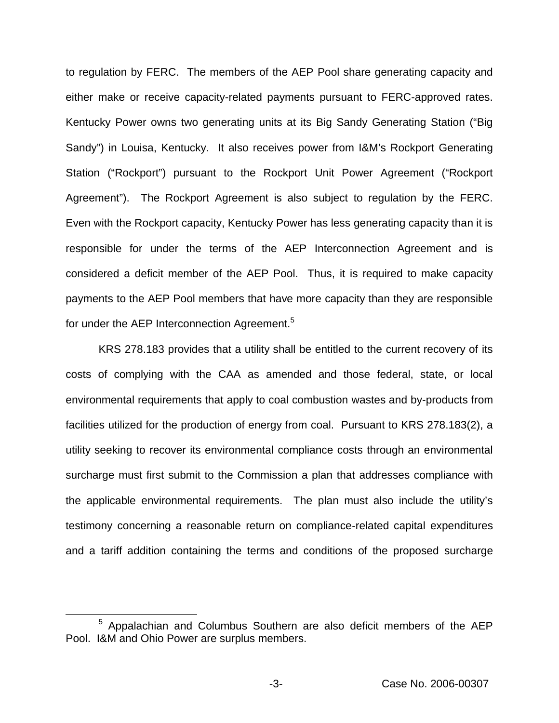to regulation by FERC. The members of the AEP Pool share generating capacity and either make or receive capacity-related payments pursuant to FERC-approved rates. Kentucky Power owns two generating units at its Big Sandy Generating Station ("Big Sandy") in Louisa, Kentucky. It also receives power from I&M's Rockport Generating Station ("Rockport") pursuant to the Rockport Unit Power Agreement ("Rockport Agreement"). The Rockport Agreement is also subject to regulation by the FERC. Even with the Rockport capacity, Kentucky Power has less generating capacity than it is responsible for under the terms of the AEP Interconnection Agreement and is considered a deficit member of the AEP Pool. Thus, it is required to make capacity payments to the AEP Pool members that have more capacity than they are responsible for under the AEP Interconnection Agreement.<sup>5</sup>

KRS 278.183 provides that a utility shall be entitled to the current recovery of its costs of complying with the CAA as amended and those federal, state, or local environmental requirements that apply to coal combustion wastes and by-products from facilities utilized for the production of energy from coal. Pursuant to KRS 278.183(2), a utility seeking to recover its environmental compliance costs through an environmental surcharge must first submit to the Commission a plan that addresses compliance with the applicable environmental requirements. The plan must also include the utility's testimony concerning a reasonable return on compliance-related capital expenditures and a tariff addition containing the terms and conditions of the proposed surcharge

<sup>5</sup> Appalachian and Columbus Southern are also deficit members of the AEP Pool. I&M and Ohio Power are surplus members.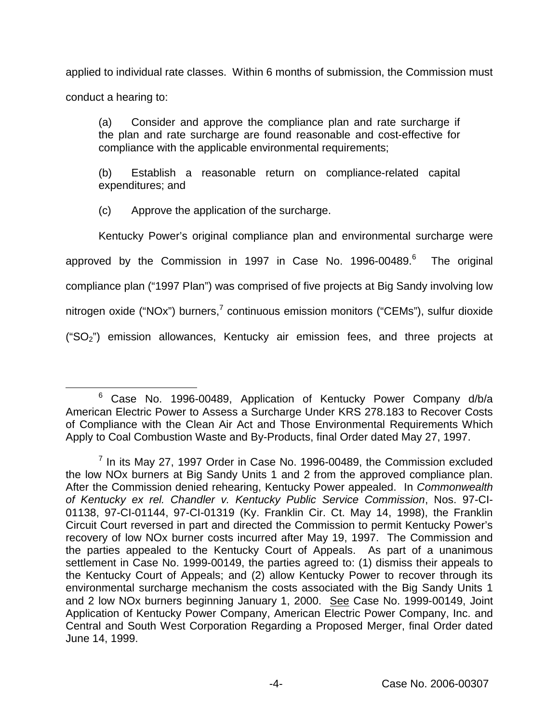applied to individual rate classes. Within 6 months of submission, the Commission must conduct a hearing to:

(a) Consider and approve the compliance plan and rate surcharge if the plan and rate surcharge are found reasonable and cost-effective for compliance with the applicable environmental requirements;

(b) Establish a reasonable return on compliance-related capital expenditures; and

(c) Approve the application of the surcharge.

Kentucky Power's original compliance plan and environmental surcharge were approved by the Commission in 1997 in Case No. 1996-00489.<sup>6</sup> The original compliance plan ("1997 Plan") was comprised of five projects at Big Sandy involving low nitrogen oxide ("NOx") burners, $<sup>7</sup>$  continuous emission monitors ("CEMs"), sulfur dioxide</sup> (" $SO<sub>2</sub>$ ") emission allowances, Kentucky air emission fees, and three projects at

<sup>6</sup> Case No. 1996-00489, Application of Kentucky Power Company d/b/a American Electric Power to Assess a Surcharge Under KRS 278.183 to Recover Costs of Compliance with the Clean Air Act and Those Environmental Requirements Which Apply to Coal Combustion Waste and By-Products, final Order dated May 27, 1997.

 $<sup>7</sup>$  In its May 27, 1997 Order in Case No. 1996-00489, the Commission excluded</sup> the low NOx burners at Big Sandy Units 1 and 2 from the approved compliance plan. After the Commission denied rehearing, Kentucky Power appealed. In *Commonwealth of Kentucky ex rel. Chandler v. Kentucky Public Service Commission*, Nos. 97-CI-01138, 97-CI-01144, 97-CI-01319 (Ky. Franklin Cir. Ct. May 14, 1998), the Franklin Circuit Court reversed in part and directed the Commission to permit Kentucky Power's recovery of low NOx burner costs incurred after May 19, 1997. The Commission and the parties appealed to the Kentucky Court of Appeals. As part of a unanimous settlement in Case No. 1999-00149, the parties agreed to: (1) dismiss their appeals to the Kentucky Court of Appeals; and (2) allow Kentucky Power to recover through its environmental surcharge mechanism the costs associated with the Big Sandy Units 1 and 2 low NOx burners beginning January 1, 2000. See Case No. 1999-00149, Joint Application of Kentucky Power Company, American Electric Power Company, Inc. and Central and South West Corporation Regarding a Proposed Merger, final Order dated June 14, 1999.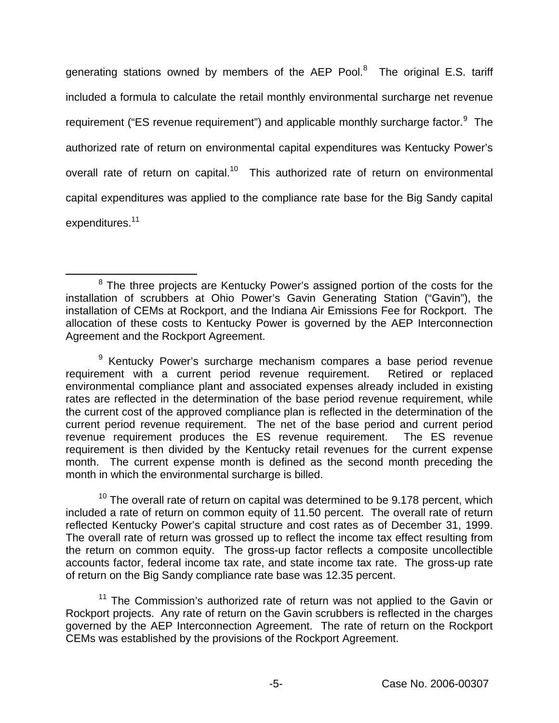generating stations owned by members of the AEP Pool. $8$  The original E.S. tariff included a formula to calculate the retail monthly environmental surcharge net revenue requirement ("ES revenue requirement") and applicable monthly surcharge factor.<sup>9</sup> The authorized rate of return on environmental capital expenditures was Kentucky Power's overall rate of return on capital.<sup>10</sup> This authorized rate of return on environmental capital expenditures was applied to the compliance rate base for the Big Sandy capital expenditures.<sup>11</sup>

 $10$  The overall rate of return on capital was determined to be 9.178 percent, which included a rate of return on common equity of 11.50 percent. The overall rate of return reflected Kentucky Power's capital structure and cost rates as of December 31, 1999. The overall rate of return was grossed up to reflect the income tax effect resulting from the return on common equity. The gross-up factor reflects a composite uncollectible accounts factor, federal income tax rate, and state income tax rate. The gross-up rate of return on the Big Sandy compliance rate base was 12.35 percent.

<sup>11</sup> The Commission's authorized rate of return was not applied to the Gavin or Rockport projects. Any rate of return on the Gavin scrubbers is reflected in the charges governed by the AEP Interconnection Agreement. The rate of return on the Rockport CEMs was established by the provisions of the Rockport Agreement.

<sup>&</sup>lt;sup>8</sup> The three projects are Kentucky Power's assigned portion of the costs for the installation of scrubbers at Ohio Power's Gavin Generating Station ("Gavin"), the installation of CEMs at Rockport, and the Indiana Air Emissions Fee for Rockport. The allocation of these costs to Kentucky Power is governed by the AEP Interconnection Agreement and the Rockport Agreement.

<sup>&</sup>lt;sup>9</sup> Kentucky Power's surcharge mechanism compares a base period revenue requirement with a current period revenue requirement. Retired or replaced environmental compliance plant and associated expenses already included in existing rates are reflected in the determination of the base period revenue requirement, while the current cost of the approved compliance plan is reflected in the determination of the current period revenue requirement. The net of the base period and current period revenue requirement produces the ES revenue requirement. The ES revenue requirement is then divided by the Kentucky retail revenues for the current expense month. The current expense month is defined as the second month preceding the month in which the environmental surcharge is billed.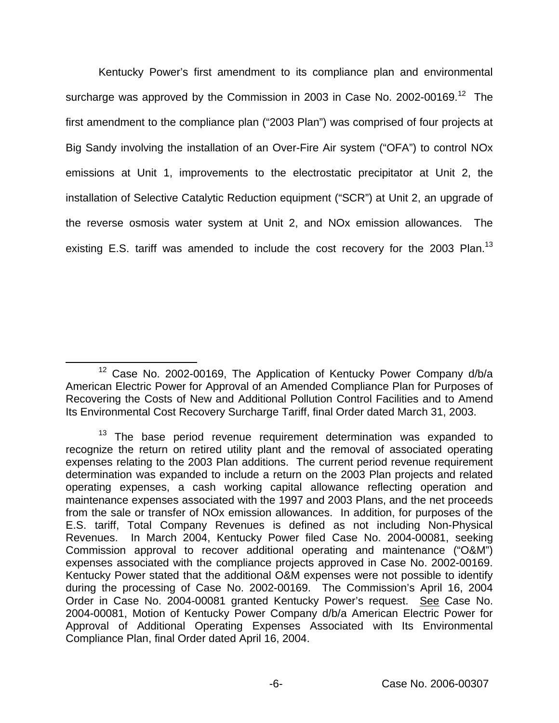Kentucky Power's first amendment to its compliance plan and environmental surcharge was approved by the Commission in 2003 in Case No. 2002-00169.<sup>12</sup> The first amendment to the compliance plan ("2003 Plan") was comprised of four projects at Big Sandy involving the installation of an Over-Fire Air system ("OFA") to control NOx emissions at Unit 1, improvements to the electrostatic precipitator at Unit 2, the installation of Selective Catalytic Reduction equipment ("SCR") at Unit 2, an upgrade of the reverse osmosis water system at Unit 2, and NOx emission allowances. The existing E.S. tariff was amended to include the cost recovery for the 2003 Plan.<sup>13</sup>

<sup>12</sup> Case No. 2002-00169, The Application of Kentucky Power Company d/b/a American Electric Power for Approval of an Amended Compliance Plan for Purposes of Recovering the Costs of New and Additional Pollution Control Facilities and to Amend Its Environmental Cost Recovery Surcharge Tariff, final Order dated March 31, 2003.

 $13$  The base period revenue requirement determination was expanded to recognize the return on retired utility plant and the removal of associated operating expenses relating to the 2003 Plan additions. The current period revenue requirement determination was expanded to include a return on the 2003 Plan projects and related operating expenses, a cash working capital allowance reflecting operation and maintenance expenses associated with the 1997 and 2003 Plans, and the net proceeds from the sale or transfer of NOx emission allowances. In addition, for purposes of the E.S. tariff, Total Company Revenues is defined as not including Non-Physical Revenues. In March 2004, Kentucky Power filed Case No. 2004-00081, seeking Commission approval to recover additional operating and maintenance ("O&M") expenses associated with the compliance projects approved in Case No. 2002-00169. Kentucky Power stated that the additional O&M expenses were not possible to identify during the processing of Case No. 2002-00169. The Commission's April 16, 2004 Order in Case No. 2004-00081 granted Kentucky Power's request. See Case No. 2004-00081, Motion of Kentucky Power Company d/b/a American Electric Power for Approval of Additional Operating Expenses Associated with Its Environmental Compliance Plan, final Order dated April 16, 2004.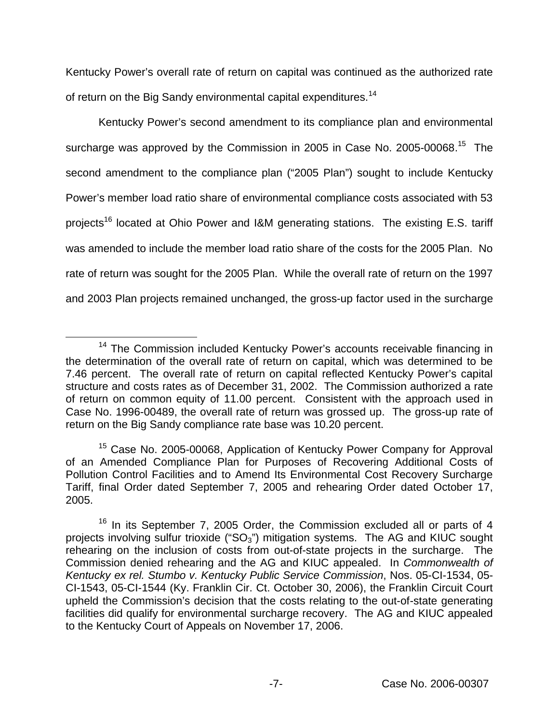Kentucky Power's overall rate of return on capital was continued as the authorized rate of return on the Big Sandy environmental capital expenditures.<sup>14</sup>

Kentucky Power's second amendment to its compliance plan and environmental surcharge was approved by the Commission in 2005 in Case No. 2005-00068.<sup>15</sup> The second amendment to the compliance plan ("2005 Plan") sought to include Kentucky Power's member load ratio share of environmental compliance costs associated with 53 projects<sup>16</sup> located at Ohio Power and I&M generating stations. The existing E.S. tariff was amended to include the member load ratio share of the costs for the 2005 Plan. No rate of return was sought for the 2005 Plan. While the overall rate of return on the 1997 and 2003 Plan projects remained unchanged, the gross-up factor used in the surcharge

<sup>&</sup>lt;sup>14</sup> The Commission included Kentucky Power's accounts receivable financing in the determination of the overall rate of return on capital, which was determined to be 7.46 percent. The overall rate of return on capital reflected Kentucky Power's capital structure and costs rates as of December 31, 2002. The Commission authorized a rate of return on common equity of 11.00 percent. Consistent with the approach used in Case No. 1996-00489, the overall rate of return was grossed up. The gross-up rate of return on the Big Sandy compliance rate base was 10.20 percent.

<sup>&</sup>lt;sup>15</sup> Case No. 2005-00068, Application of Kentucky Power Company for Approval of an Amended Compliance Plan for Purposes of Recovering Additional Costs of Pollution Control Facilities and to Amend Its Environmental Cost Recovery Surcharge Tariff, final Order dated September 7, 2005 and rehearing Order dated October 17, 2005.

<sup>&</sup>lt;sup>16</sup> In its September 7, 2005 Order, the Commission excluded all or parts of 4 projects involving sulfur trioxide (" $SO<sub>3</sub>$ ") mitigation systems. The AG and KIUC sought rehearing on the inclusion of costs from out-of-state projects in the surcharge. The Commission denied rehearing and the AG and KIUC appealed. In *Commonwealth of Kentucky ex rel. Stumbo v. Kentucky Public Service Commission*, Nos. 05-CI-1534, 05- CI-1543, 05-CI-1544 (Ky. Franklin Cir. Ct. October 30, 2006), the Franklin Circuit Court upheld the Commission's decision that the costs relating to the out-of-state generating facilities did qualify for environmental surcharge recovery. The AG and KIUC appealed to the Kentucky Court of Appeals on November 17, 2006.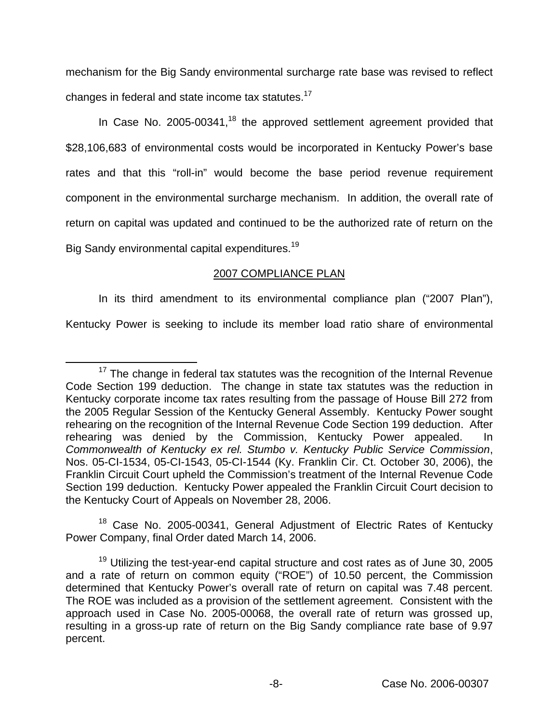mechanism for the Big Sandy environmental surcharge rate base was revised to reflect changes in federal and state income tax statutes.<sup>17</sup>

In Case No. 2005-00341, $18$  the approved settlement agreement provided that \$28,106,683 of environmental costs would be incorporated in Kentucky Power's base rates and that this "roll-in" would become the base period revenue requirement component in the environmental surcharge mechanism. In addition, the overall rate of return on capital was updated and continued to be the authorized rate of return on the Big Sandy environmental capital expenditures.<sup>19</sup>

## 2007 COMPLIANCE PLAN

In its third amendment to its environmental compliance plan ("2007 Plan"), Kentucky Power is seeking to include its member load ratio share of environmental

<sup>18</sup> Case No. 2005-00341, General Adjustment of Electric Rates of Kentucky Power Company, final Order dated March 14, 2006.

 $17$  The change in federal tax statutes was the recognition of the Internal Revenue Code Section 199 deduction. The change in state tax statutes was the reduction in Kentucky corporate income tax rates resulting from the passage of House Bill 272 from the 2005 Regular Session of the Kentucky General Assembly. Kentucky Power sought rehearing on the recognition of the Internal Revenue Code Section 199 deduction. After rehearing was denied by the Commission, Kentucky Power appealed. In *Commonwealth of Kentucky ex rel. Stumbo v. Kentucky Public Service Commission*, Nos. 05-CI-1534, 05-CI-1543, 05-CI-1544 (Ky. Franklin Cir. Ct. October 30, 2006), the Franklin Circuit Court upheld the Commission's treatment of the Internal Revenue Code Section 199 deduction. Kentucky Power appealed the Franklin Circuit Court decision to the Kentucky Court of Appeals on November 28, 2006.

<sup>&</sup>lt;sup>19</sup> Utilizing the test-year-end capital structure and cost rates as of June 30, 2005 and a rate of return on common equity ("ROE") of 10.50 percent, the Commission determined that Kentucky Power's overall rate of return on capital was 7.48 percent. The ROE was included as a provision of the settlement agreement. Consistent with the approach used in Case No. 2005-00068, the overall rate of return was grossed up, resulting in a gross-up rate of return on the Big Sandy compliance rate base of 9.97 percent.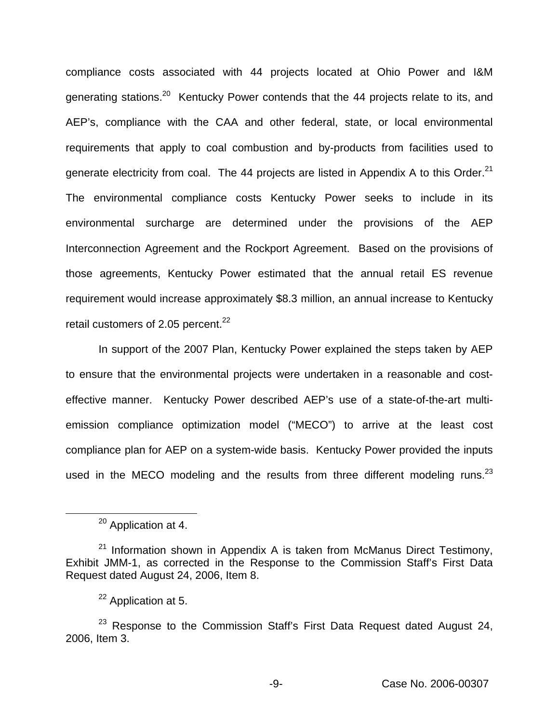compliance costs associated with 44 projects located at Ohio Power and I&M generating stations.<sup>20</sup> Kentucky Power contends that the 44 projects relate to its, and AEP's, compliance with the CAA and other federal, state, or local environmental requirements that apply to coal combustion and by-products from facilities used to generate electricity from coal. The 44 projects are listed in Appendix A to this Order.<sup>21</sup> The environmental compliance costs Kentucky Power seeks to include in its environmental surcharge are determined under the provisions of the AEP Interconnection Agreement and the Rockport Agreement. Based on the provisions of those agreements, Kentucky Power estimated that the annual retail ES revenue requirement would increase approximately \$8.3 million, an annual increase to Kentucky retail customers of 2.05 percent.<sup>22</sup>

In support of the 2007 Plan, Kentucky Power explained the steps taken by AEP to ensure that the environmental projects were undertaken in a reasonable and costeffective manner. Kentucky Power described AEP's use of a state-of-the-art multiemission compliance optimization model ("MECO") to arrive at the least cost compliance plan for AEP on a system-wide basis. Kentucky Power provided the inputs used in the MECO modeling and the results from three different modeling runs.<sup>23</sup>

<sup>&</sup>lt;sup>20</sup> Application at 4.

 $21$  Information shown in Appendix A is taken from McManus Direct Testimony, Exhibit JMM-1, as corrected in the Response to the Commission Staff's First Data Request dated August 24, 2006, Item 8.

<sup>22</sup> Application at 5.

 $23$  Response to the Commission Staff's First Data Request dated August 24, 2006, Item 3.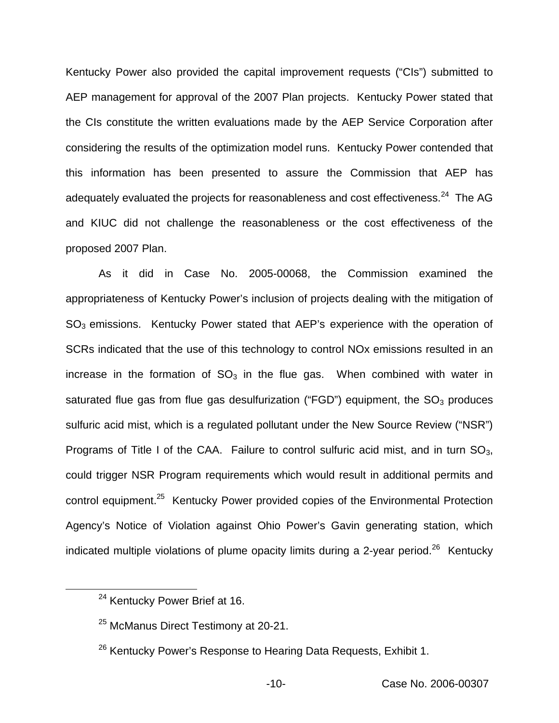Kentucky Power also provided the capital improvement requests ("CIs") submitted to AEP management for approval of the 2007 Plan projects. Kentucky Power stated that the CIs constitute the written evaluations made by the AEP Service Corporation after considering the results of the optimization model runs. Kentucky Power contended that this information has been presented to assure the Commission that AEP has adequately evaluated the projects for reasonableness and cost effectiveness.<sup>24</sup> The AG and KIUC did not challenge the reasonableness or the cost effectiveness of the proposed 2007 Plan.

As it did in Case No. 2005-00068, the Commission examined the appropriateness of Kentucky Power's inclusion of projects dealing with the mitigation of  $SO<sub>3</sub>$  emissions. Kentucky Power stated that AEP's experience with the operation of SCRs indicated that the use of this technology to control NOx emissions resulted in an increase in the formation of  $SO<sub>3</sub>$  in the flue gas. When combined with water in saturated flue gas from flue gas desulfurization ("FGD") equipment, the  $SO<sub>3</sub>$  produces sulfuric acid mist, which is a regulated pollutant under the New Source Review ("NSR") Programs of Title I of the CAA. Failure to control sulfuric acid mist, and in turn  $SO_3$ , could trigger NSR Program requirements which would result in additional permits and control equipment.25 Kentucky Power provided copies of the Environmental Protection Agency's Notice of Violation against Ohio Power's Gavin generating station, which indicated multiple violations of plume opacity limits during a 2-year period.<sup>26</sup> Kentucky

<sup>&</sup>lt;sup>24</sup> Kentucky Power Brief at 16.

<sup>&</sup>lt;sup>25</sup> McManus Direct Testimony at 20-21.

<sup>&</sup>lt;sup>26</sup> Kentucky Power's Response to Hearing Data Requests, Exhibit 1.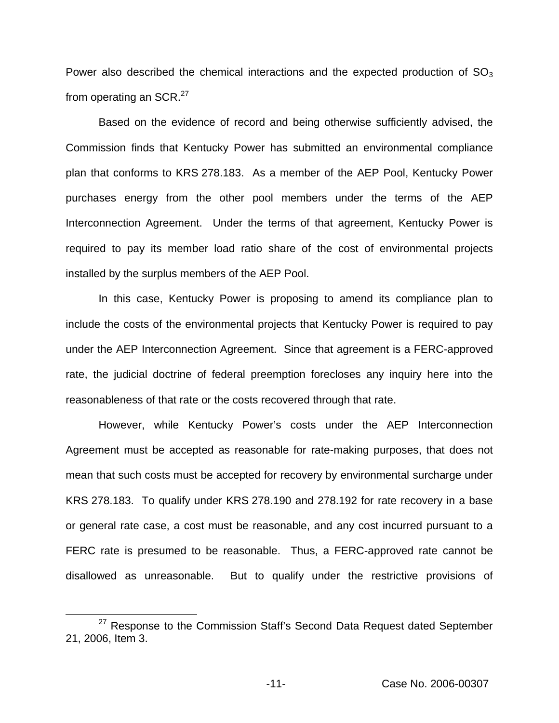Power also described the chemical interactions and the expected production of  $SO<sub>3</sub>$ from operating an  $SCR.<sup>27</sup>$ 

Based on the evidence of record and being otherwise sufficiently advised, the Commission finds that Kentucky Power has submitted an environmental compliance plan that conforms to KRS 278.183. As a member of the AEP Pool, Kentucky Power purchases energy from the other pool members under the terms of the AEP Interconnection Agreement. Under the terms of that agreement, Kentucky Power is required to pay its member load ratio share of the cost of environmental projects installed by the surplus members of the AEP Pool.

In this case, Kentucky Power is proposing to amend its compliance plan to include the costs of the environmental projects that Kentucky Power is required to pay under the AEP Interconnection Agreement. Since that agreement is a FERC-approved rate, the judicial doctrine of federal preemption forecloses any inquiry here into the reasonableness of that rate or the costs recovered through that rate.

However, while Kentucky Power's costs under the AEP Interconnection Agreement must be accepted as reasonable for rate-making purposes, that does not mean that such costs must be accepted for recovery by environmental surcharge under KRS 278.183. To qualify under KRS 278.190 and 278.192 for rate recovery in a base or general rate case, a cost must be reasonable, and any cost incurred pursuant to a FERC rate is presumed to be reasonable. Thus, a FERC-approved rate cannot be disallowed as unreasonable. But to qualify under the restrictive provisions of

<sup>&</sup>lt;sup>27</sup> Response to the Commission Staff's Second Data Request dated September 21, 2006, Item 3.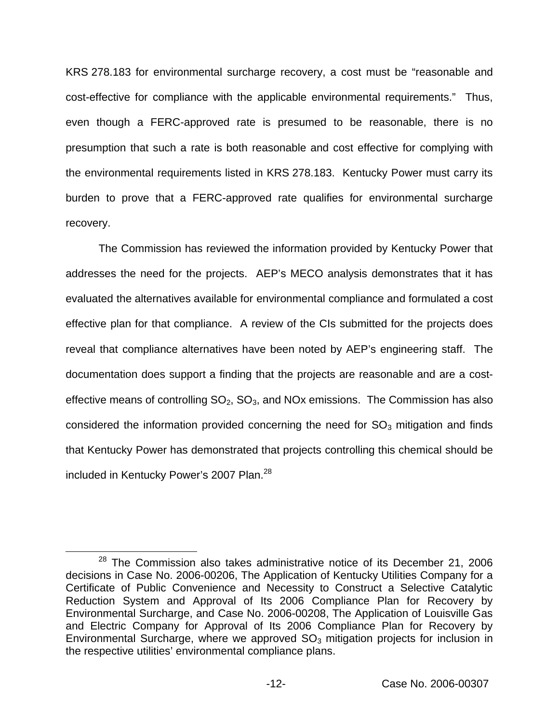KRS 278.183 for environmental surcharge recovery, a cost must be "reasonable and cost-effective for compliance with the applicable environmental requirements." Thus, even though a FERC-approved rate is presumed to be reasonable, there is no presumption that such a rate is both reasonable and cost effective for complying with the environmental requirements listed in KRS 278.183. Kentucky Power must carry its burden to prove that a FERC-approved rate qualifies for environmental surcharge recovery.

The Commission has reviewed the information provided by Kentucky Power that addresses the need for the projects. AEP's MECO analysis demonstrates that it has evaluated the alternatives available for environmental compliance and formulated a cost effective plan for that compliance. A review of the CIs submitted for the projects does reveal that compliance alternatives have been noted by AEP's engineering staff. The documentation does support a finding that the projects are reasonable and are a costeffective means of controlling  $SO_2$ ,  $SO_3$ , and NOx emissions. The Commission has also considered the information provided concerning the need for  $SO<sub>3</sub>$  mitigation and finds that Kentucky Power has demonstrated that projects controlling this chemical should be included in Kentucky Power's 2007 Plan.<sup>28</sup>

 $28$  The Commission also takes administrative notice of its December 21, 2006 decisions in Case No. 2006-00206, The Application of Kentucky Utilities Company for a Certificate of Public Convenience and Necessity to Construct a Selective Catalytic Reduction System and Approval of Its 2006 Compliance Plan for Recovery by Environmental Surcharge, and Case No. 2006-00208, The Application of Louisville Gas and Electric Company for Approval of Its 2006 Compliance Plan for Recovery by Environmental Surcharge, where we approved  $SO<sub>3</sub>$  mitigation projects for inclusion in the respective utilities' environmental compliance plans.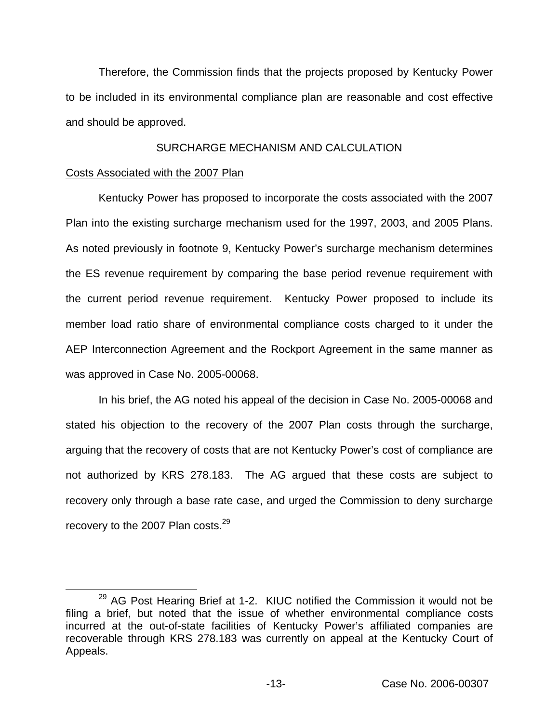Therefore, the Commission finds that the projects proposed by Kentucky Power to be included in its environmental compliance plan are reasonable and cost effective and should be approved.

#### SURCHARGE MECHANISM AND CALCULATION

#### Costs Associated with the 2007 Plan

Kentucky Power has proposed to incorporate the costs associated with the 2007 Plan into the existing surcharge mechanism used for the 1997, 2003, and 2005 Plans. As noted previously in footnote 9, Kentucky Power's surcharge mechanism determines the ES revenue requirement by comparing the base period revenue requirement with the current period revenue requirement. Kentucky Power proposed to include its member load ratio share of environmental compliance costs charged to it under the AEP Interconnection Agreement and the Rockport Agreement in the same manner as was approved in Case No. 2005-00068.

In his brief, the AG noted his appeal of the decision in Case No. 2005-00068 and stated his objection to the recovery of the 2007 Plan costs through the surcharge, arguing that the recovery of costs that are not Kentucky Power's cost of compliance are not authorized by KRS 278.183. The AG argued that these costs are subject to recovery only through a base rate case, and urged the Commission to deny surcharge recovery to the 2007 Plan costs.<sup>29</sup>

 $29$  AG Post Hearing Brief at 1-2. KIUC notified the Commission it would not be filing a brief, but noted that the issue of whether environmental compliance costs incurred at the out-of-state facilities of Kentucky Power's affiliated companies are recoverable through KRS 278.183 was currently on appeal at the Kentucky Court of Appeals.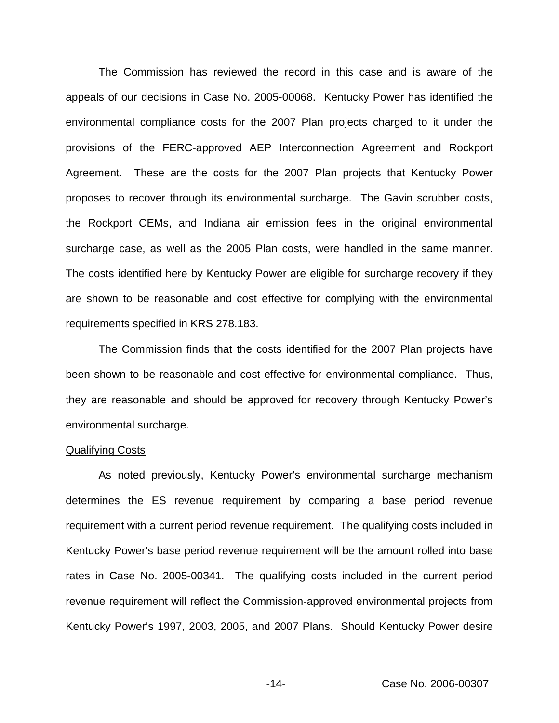The Commission has reviewed the record in this case and is aware of the appeals of our decisions in Case No. 2005-00068. Kentucky Power has identified the environmental compliance costs for the 2007 Plan projects charged to it under the provisions of the FERC-approved AEP Interconnection Agreement and Rockport Agreement. These are the costs for the 2007 Plan projects that Kentucky Power proposes to recover through its environmental surcharge. The Gavin scrubber costs, the Rockport CEMs, and Indiana air emission fees in the original environmental surcharge case, as well as the 2005 Plan costs, were handled in the same manner. The costs identified here by Kentucky Power are eligible for surcharge recovery if they are shown to be reasonable and cost effective for complying with the environmental requirements specified in KRS 278.183.

The Commission finds that the costs identified for the 2007 Plan projects have been shown to be reasonable and cost effective for environmental compliance. Thus, they are reasonable and should be approved for recovery through Kentucky Power's environmental surcharge.

#### Qualifying Costs

As noted previously, Kentucky Power's environmental surcharge mechanism determines the ES revenue requirement by comparing a base period revenue requirement with a current period revenue requirement. The qualifying costs included in Kentucky Power's base period revenue requirement will be the amount rolled into base rates in Case No. 2005-00341. The qualifying costs included in the current period revenue requirement will reflect the Commission-approved environmental projects from Kentucky Power's 1997, 2003, 2005, and 2007 Plans. Should Kentucky Power desire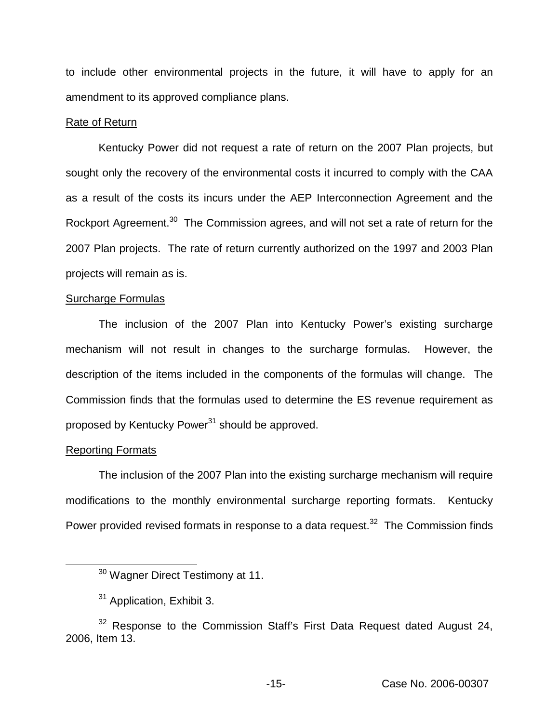to include other environmental projects in the future, it will have to apply for an amendment to its approved compliance plans.

#### Rate of Return

Kentucky Power did not request a rate of return on the 2007 Plan projects, but sought only the recovery of the environmental costs it incurred to comply with the CAA as a result of the costs its incurs under the AEP Interconnection Agreement and the Rockport Agreement.<sup>30</sup> The Commission agrees, and will not set a rate of return for the 2007 Plan projects. The rate of return currently authorized on the 1997 and 2003 Plan projects will remain as is.

#### Surcharge Formulas

The inclusion of the 2007 Plan into Kentucky Power's existing surcharge mechanism will not result in changes to the surcharge formulas. However, the description of the items included in the components of the formulas will change. The Commission finds that the formulas used to determine the ES revenue requirement as proposed by Kentucky Power<sup>31</sup> should be approved.

#### Reporting Formats

The inclusion of the 2007 Plan into the existing surcharge mechanism will require modifications to the monthly environmental surcharge reporting formats. Kentucky Power provided revised formats in response to a data request.<sup>32</sup> The Commission finds

<sup>30</sup> Wagner Direct Testimony at 11.

<sup>&</sup>lt;sup>31</sup> Application, Exhibit 3.

 $32$  Response to the Commission Staff's First Data Request dated August 24, 2006, Item 13.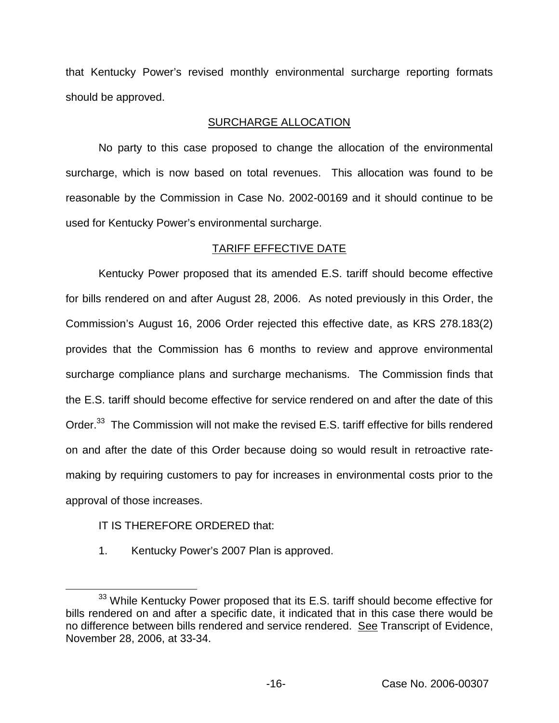that Kentucky Power's revised monthly environmental surcharge reporting formats should be approved.

### SURCHARGE ALLOCATION

No party to this case proposed to change the allocation of the environmental surcharge, which is now based on total revenues. This allocation was found to be reasonable by the Commission in Case No. 2002-00169 and it should continue to be used for Kentucky Power's environmental surcharge.

# TARIFF EFFECTIVE DATE

Kentucky Power proposed that its amended E.S. tariff should become effective for bills rendered on and after August 28, 2006. As noted previously in this Order, the Commission's August 16, 2006 Order rejected this effective date, as KRS 278.183(2) provides that the Commission has 6 months to review and approve environmental surcharge compliance plans and surcharge mechanisms. The Commission finds that the E.S. tariff should become effective for service rendered on and after the date of this Order.<sup>33</sup> The Commission will not make the revised E.S. tariff effective for bills rendered on and after the date of this Order because doing so would result in retroactive ratemaking by requiring customers to pay for increases in environmental costs prior to the approval of those increases.

# IT IS THEREFORE ORDERED that:

1. Kentucky Power's 2007 Plan is approved.

<sup>&</sup>lt;sup>33</sup> While Kentucky Power proposed that its E.S. tariff should become effective for bills rendered on and after a specific date, it indicated that in this case there would be no difference between bills rendered and service rendered. See Transcript of Evidence, November 28, 2006, at 33-34.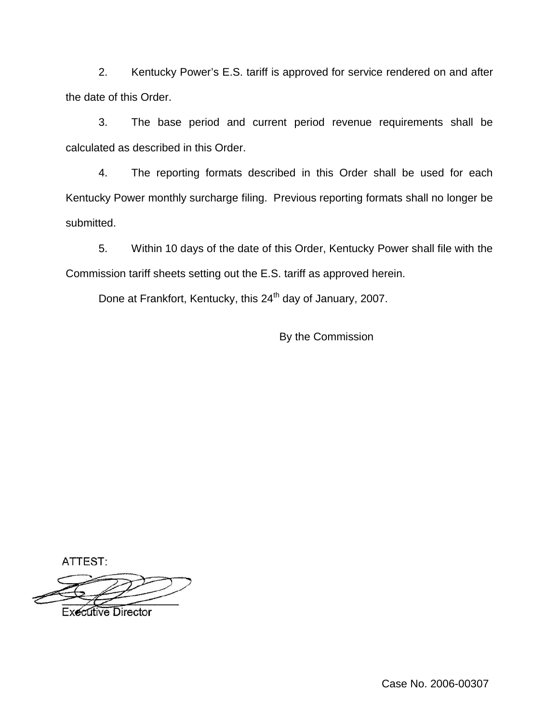2. Kentucky Power's E.S. tariff is approved for service rendered on and after the date of this Order.

3. The base period and current period revenue requirements shall be calculated as described in this Order.

4. The reporting formats described in this Order shall be used for each Kentucky Power monthly surcharge filing. Previous reporting formats shall no longer be submitted.

5. Within 10 days of the date of this Order, Kentucky Power shall file with the Commission tariff sheets setting out the E.S. tariff as approved herein.

Done at Frankfort, Kentucky, this 24<sup>th</sup> day of January, 2007.

By the Commission

ATTEST:

**Executive Director** 

Case No. 2006-00307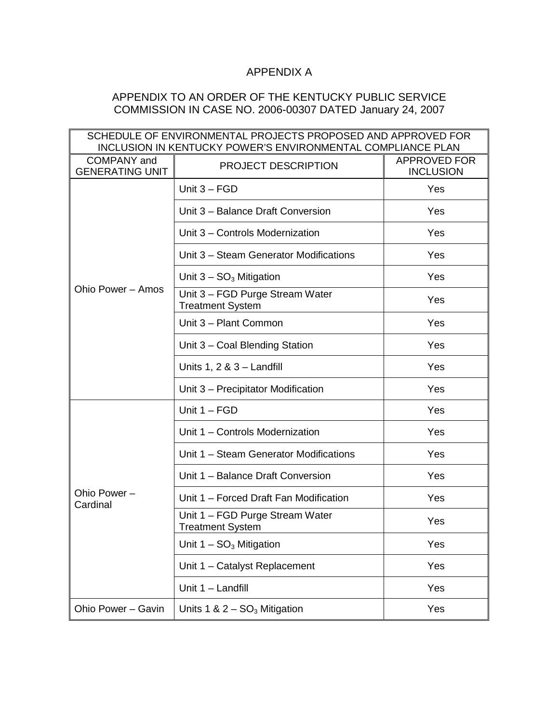# APPENDIX A

## APPENDIX TO AN ORDER OF THE KENTUCKY PUBLIC SERVICE COMMISSION IN CASE NO. 2006-00307 DATED January 24, 2007

| SCHEDULE OF ENVIRONMENTAL PROJECTS PROPOSED AND APPROVED FOR<br><b>INCLUSION IN KENTUCKY POWER'S ENVIRONMENTAL COMPLIANCE PLAN</b> |                                                            |                                         |  |
|------------------------------------------------------------------------------------------------------------------------------------|------------------------------------------------------------|-----------------------------------------|--|
| <b>COMPANY</b> and<br><b>GENERATING UNIT</b>                                                                                       | PROJECT DESCRIPTION                                        | <b>APPROVED FOR</b><br><b>INCLUSION</b> |  |
| Ohio Power - Amos                                                                                                                  | Unit $3 - FGD$                                             | Yes                                     |  |
|                                                                                                                                    | Unit 3 - Balance Draft Conversion                          | Yes                                     |  |
|                                                                                                                                    | Unit 3 - Controls Modernization                            | Yes                                     |  |
|                                                                                                                                    | Unit 3 - Steam Generator Modifications                     | Yes                                     |  |
|                                                                                                                                    | Unit $3 - SO3$ Mitigation                                  | Yes                                     |  |
|                                                                                                                                    | Unit 3 - FGD Purge Stream Water<br><b>Treatment System</b> | Yes                                     |  |
|                                                                                                                                    | Unit 3 - Plant Common                                      | Yes                                     |  |
|                                                                                                                                    | Unit 3 - Coal Blending Station                             | Yes                                     |  |
|                                                                                                                                    | Units $1, 2 \& 3 -$ Landfill                               | Yes                                     |  |
|                                                                                                                                    | Unit 3 – Precipitator Modification                         | Yes                                     |  |
| Ohio Power -<br>Cardinal                                                                                                           | Unit 1 - FGD                                               | Yes                                     |  |
|                                                                                                                                    | Unit 1 - Controls Modernization                            | Yes                                     |  |
|                                                                                                                                    | Unit 1 - Steam Generator Modifications                     | Yes                                     |  |
|                                                                                                                                    | Unit 1 - Balance Draft Conversion                          | Yes                                     |  |
|                                                                                                                                    | Unit 1 - Forced Draft Fan Modification                     | Yes                                     |  |
|                                                                                                                                    | Unit 1 - FGD Purge Stream Water<br><b>Treatment System</b> | Yes                                     |  |
|                                                                                                                                    | Unit $1 - SO3$ Mitigation                                  | Yes                                     |  |
|                                                                                                                                    | Unit 1 - Catalyst Replacement                              | Yes                                     |  |
|                                                                                                                                    | Unit 1 - Landfill                                          | Yes                                     |  |
| Ohio Power - Gavin                                                                                                                 | Units 1 & $2 - SO3$ Mitigation                             | Yes                                     |  |